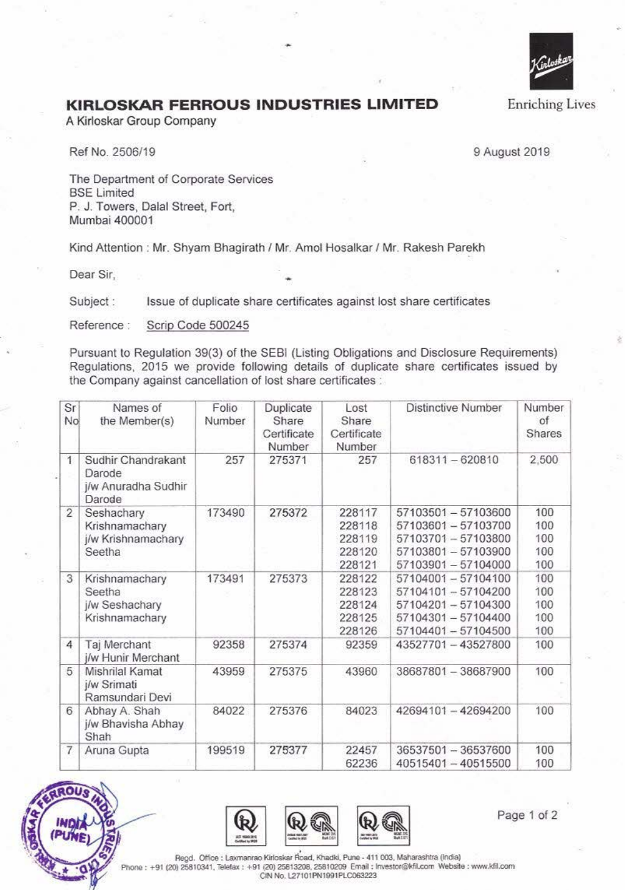

## **KIRLO SKAR FERROUS INDUSTRIES LIMITED**

A Kirloskar Group Company

Ref No. 2506/19 9 August 2019

The Department of Corporate Services **BSE Limited** P. J. Towers, Dalal Street, Fort, Mumbai 400001

Kind Attention : Mr. Shyam Bhagirath / Mr. Amol Hosalkar / Mr. Rakesh Parekh

Dear Sir,

Subject : Issue of duplicate share certificates against lost share certificates

Reference : Scrip Code 500245

Pursuant to Regulation 39(3) of the SEBI (Listing Obligations and Disclosure Requirements) Regulations, 2015 we provide following details of duplicate share certificates issued by the Company against cancellation of lost share certificates :

| Sr<br>No.      | Names of<br>the Member(s)                                     | Folio<br>Number | Duplicate<br>Share<br>Certificate<br>Number | Lost<br>Share<br>Certificate<br>Number         | <b>Distinctive Number</b>                                                                                     | Number<br>of<br><b>Shares</b>   |
|----------------|---------------------------------------------------------------|-----------------|---------------------------------------------|------------------------------------------------|---------------------------------------------------------------------------------------------------------------|---------------------------------|
| $\mathbf{1}$   | Sudhir Chandrakant<br>Darode<br>j/w Anuradha Sudhir<br>Darode | 257             | 275371                                      | 257                                            | 618311-620810                                                                                                 | 2,500                           |
| $\overline{c}$ | Seshachary<br>Krishnamachary<br>j/w Krishnamachary<br>Seetha  | 173490          | 275372                                      | 228117<br>228118<br>228119<br>228120<br>228121 | 57103501 - 57103600<br>57103601 - 57103700<br>57103701 - 57103800<br>57103801 - 57103900<br>57103901-57104000 | 100<br>100<br>100<br>100<br>100 |
| 3              | Krishnamachary<br>Seetha<br>j/w Seshachary<br>Krishnamachary  | 173491          | 275373                                      | 228122<br>228123<br>228124<br>228125<br>228126 | 57104001 - 57104100<br>57104101-57104200<br>57104201-57104300<br>57104301-57104400<br>57104401 - 57104500     | 100<br>100<br>100<br>100<br>100 |
| 4              | Taj Merchant<br>j/w Hunir Merchant                            | 92358           | 275374                                      | 92359                                          | 43527701-43527800                                                                                             | 100                             |
| 5              | Mishrilal Kamat<br>j/w Srimati<br>Ramsundari Devi             | 43959           | 275375                                      | 43960                                          | 38687801 - 38687900                                                                                           | 100                             |
| 6              | Abhay A. Shah<br>j/w Bhavisha Abhay<br>Shah                   | 84022           | 275376                                      | 84023                                          | 42694101-42694200                                                                                             | 100                             |
| $\overline{7}$ | Aruna Gupta                                                   | 199519          | 275377                                      | 22457<br>62236                                 | 36537501 - 36537600<br>40515401 - 40515500                                                                    | 100<br>100                      |







Regd. Office : Laxmanrao Kirloskar Road, Khadki, Pune - 411 003, Maharashtra (India) +91 (20) 25810341, Telefax : +91 (20) 25813208, 25810209 Email : Investor@kfil.com Website : www.kfil.com CIN No. L27101PN1991PLC063223